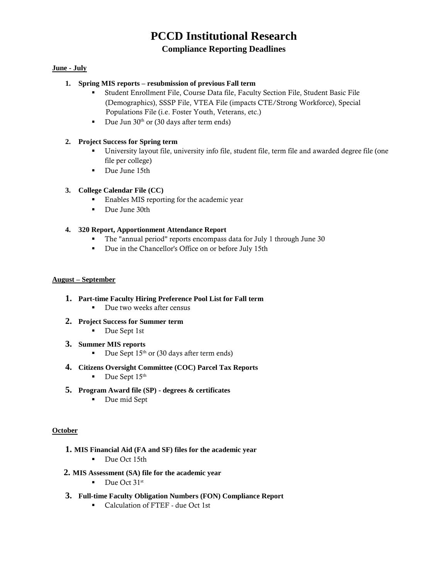# **PCCD Institutional Research**

## **Compliance Reporting Deadlines**

## **June - July**

## **1. [Spring MIS reports –](http://extranet.cccco.edu/Portals/1/TRIS/MIS/Left_Nav/Data_Sub_Timeline_2017-18.pdf) resubmission of previous Fall term**

- Student Enrollment File, Course Data file, Faculty Section File, Student Basic File (Demographics), SSSP File, VTEA File (impacts CTE/Strong Workforce), Special Populations File (i.e. Foster Youth, Veterans, etc.)
- Due Jun  $30<sup>th</sup>$  or (30 days after term ends)

## **2. [Project Success f](http://ecmc-z41d.damoursystems.com/)or Spring term**

- University layout file, university info file, student file, term file and awarded degree file (one file per college)
- Due June 15th

## **3. College Calendar File (CC)**

- **Enables MIS reporting for the academic year**
- Due June 30th

## **4. [320 Report, Apportionment Attendance Report](http://extranet.cccco.edu/Divisions/FinanceFacilities/FiscalServicesUnit/Submissions/OnlineCCFS320ReportingSystem.aspx)**

- The "annual period" reports encompass data for July 1 through June 30
- Due in the Chancellor's Office on or before July 15th

#### **August – September**

- **1. Part-time Faculty Hiring Preference Pool List for Fall term** 
	- Due two weeks after census
- **2. [Project Success f](http://ecmc-z41d.damoursystems.com/)or Summer term** 
	- Due Sept 1st
- **3. [Summer MIS reports](http://extranet.cccco.edu/Portals/1/TRIS/MIS/Left_Nav/Data_Sub_Timeline_2017-18.pdf)**
	- Due Sept  $15<sup>th</sup>$  or (30 days after term ends)
- **4. Citizens Oversight Committee (COC) Parcel Tax Reports**
	- $\blacksquare$  Due Sept 15<sup>th</sup>
- **5. Program Award file (SP) - degrees & certificates** 
	- Due mid Sept

#### **October**

- **1. MIS Financial Aid (FA and SF) files for the academic year** 
	- Due Oct 15th
- **2. MIS Assessment (SA) file for the academic year** 
	- $\blacksquare$  Due Oct 31st
- **3. [Full-time Faculty Obligation Numbers \(FON\) Compliance Report](http://extranet.cccco.edu/Divisions/FinanceFacilities/FiscalStandardsandAccountibilityUnit/FiscalStandards/FullTimeFacultyObligation.aspx#Fall_2017_and_Fall_2018)** 
	- Calculation of FTEF due Oct 1st